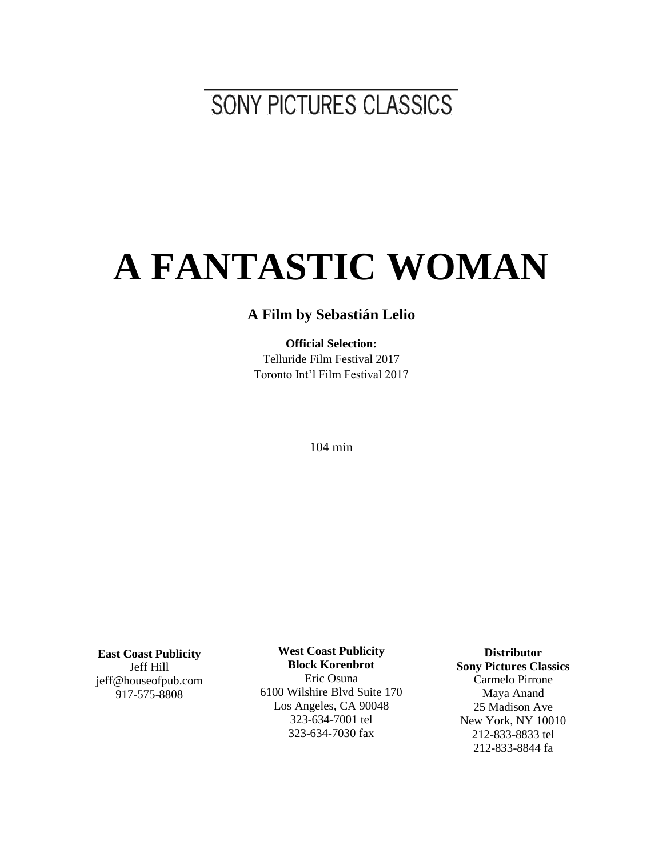SONY PICTURES CLASSICS

# **A FANTASTIC WOMAN**

# **A Film by Sebastián Lelio**

**Official Selection:** Telluride Film Festival 2017 Toronto Int'l Film Festival 2017

104 min

**East Coast Publicity** Jeff Hill jeff@houseofpub.com 917-575-8808

**West Coast Publicity Block Korenbrot** Eric Osuna 6100 Wilshire Blvd Suite 170 Los Angeles, CA 90048 323-634-7001 tel 323-634-7030 fax

**Distributor Sony Pictures Classics** Carmelo Pirrone Maya Anand 25 Madison Ave New York, NY 10010 212-833-8833 tel 212-833-8844 fa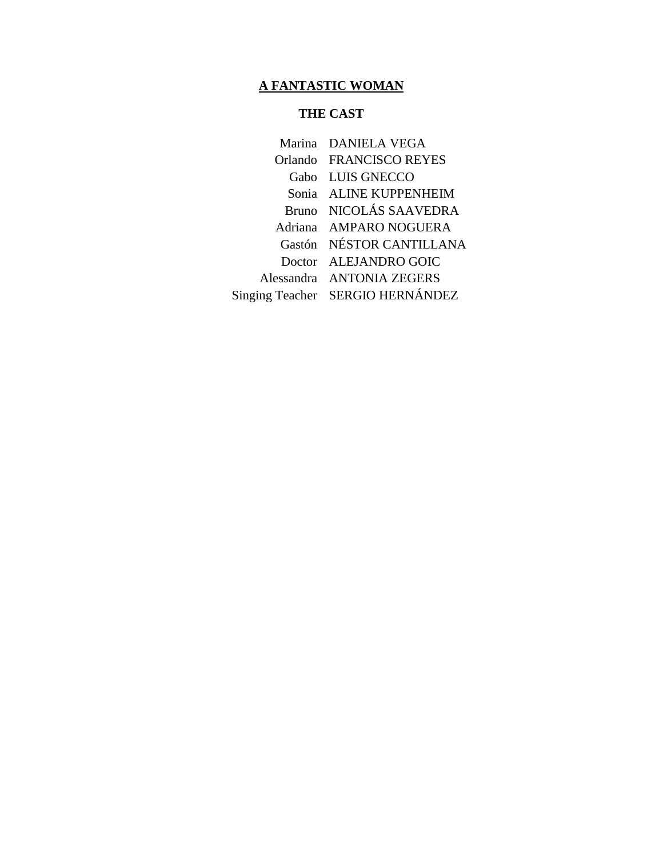#### **THE CAST**

Marina DANIELA VEGA Orlando FRANCISCO REYES Gabo LUIS GNECCO Sonia ALINE KUPPENHEIM Bruno NICOLÁS SAAVEDRA Adriana AMPARO NOGUERA Gastón NÉSTOR CANTILLANA Doctor ALEJANDRO GOIC Alessandra ANTONIA ZEGERS Singing Teacher SERGIO HERNÁNDEZ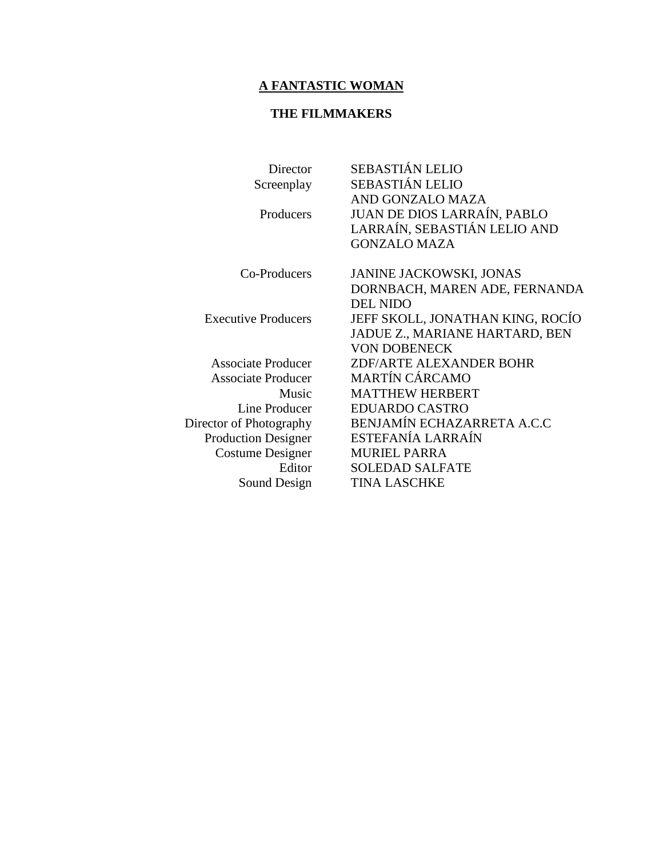# **THE FILMMAKERS**

| Director                   | <b>SEBASTIÁN LELIO</b>             |
|----------------------------|------------------------------------|
| Screenplay                 | <b>SEBASTIÁN LELIO</b>             |
|                            | AND GONZALO MAZA                   |
| Producers                  | <b>JUAN DE DIOS LARRAÍN, PABLO</b> |
|                            | LARRAÍN, SEBASTIÁN LELIO AND       |
|                            | <b>GONZALO MAZA</b>                |
| Co-Producers               | <b>JANINE JACKOWSKI, JONAS</b>     |
|                            | DORNBACH, MAREN ADE, FERNANDA      |
|                            | <b>DEL NIDO</b>                    |
| <b>Executive Producers</b> | JEFF SKOLL, JONATHAN KING, ROCÍO   |
|                            | JADUE Z., MARIANE HARTARD, BEN     |
|                            | <b>VON DOBENECK</b>                |
| <b>Associate Producer</b>  | <b>ZDF/ARTE ALEXANDER BOHR</b>     |
| <b>Associate Producer</b>  | <b>MARTÍN CÁRCAMO</b>              |
| Music                      | <b>MATTHEW HERBERT</b>             |
| Line Producer              | <b>EDUARDO CASTRO</b>              |
| Director of Photography    | BENJAMÍN ECHAZARRETA A.C.C         |
| <b>Production Designer</b> | ESTEFANÍA LARRAÍN                  |
| Costume Designer           | <b>MURIEL PARRA</b>                |
| Editor                     | <b>SOLEDAD SALFATE</b>             |
| Sound Design               | <b>TINA LASCHKE</b>                |
|                            |                                    |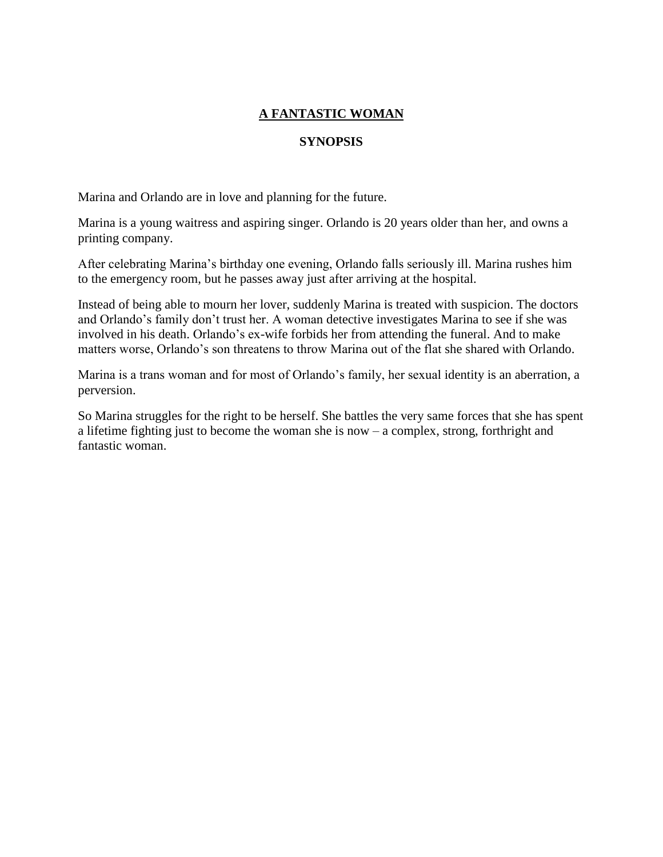# **SYNOPSIS**

Marina and Orlando are in love and planning for the future.

Marina is a young waitress and aspiring singer. Orlando is 20 years older than her, and owns a printing company.

After celebrating Marina's birthday one evening, Orlando falls seriously ill. Marina rushes him to the emergency room, but he passes away just after arriving at the hospital.

Instead of being able to mourn her lover, suddenly Marina is treated with suspicion. The doctors and Orlando's family don't trust her. A woman detective investigates Marina to see if she was involved in his death. Orlando's ex-wife forbids her from attending the funeral. And to make matters worse, Orlando's son threatens to throw Marina out of the flat she shared with Orlando.

Marina is a trans woman and for most of Orlando's family, her sexual identity is an aberration, a perversion.

So Marina struggles for the right to be herself. She battles the very same forces that she has spent a lifetime fighting just to become the woman she is now – a complex, strong, forthright and fantastic woman.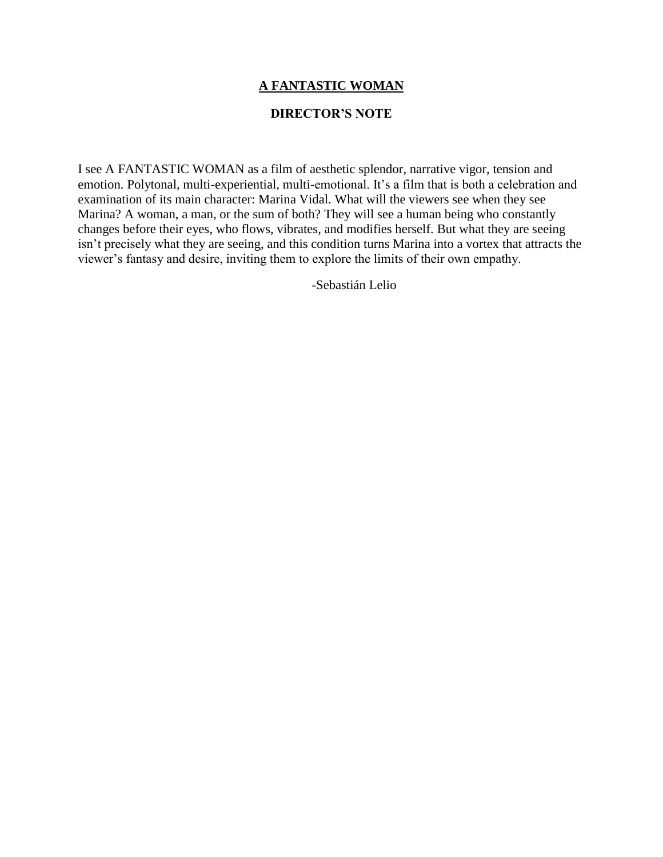#### **DIRECTOR'S NOTE**

I see A FANTASTIC WOMAN as a film of aesthetic splendor, narrative vigor, tension and emotion. Polytonal, multi-experiential, multi-emotional. It's a film that is both a celebration and examination of its main character: Marina Vidal. What will the viewers see when they see Marina? A woman, a man, or the sum of both? They will see a human being who constantly changes before their eyes, who flows, vibrates, and modifies herself. But what they are seeing isn't precisely what they are seeing, and this condition turns Marina into a vortex that attracts the viewer's fantasy and desire, inviting them to explore the limits of their own empathy.

-Sebastián Lelio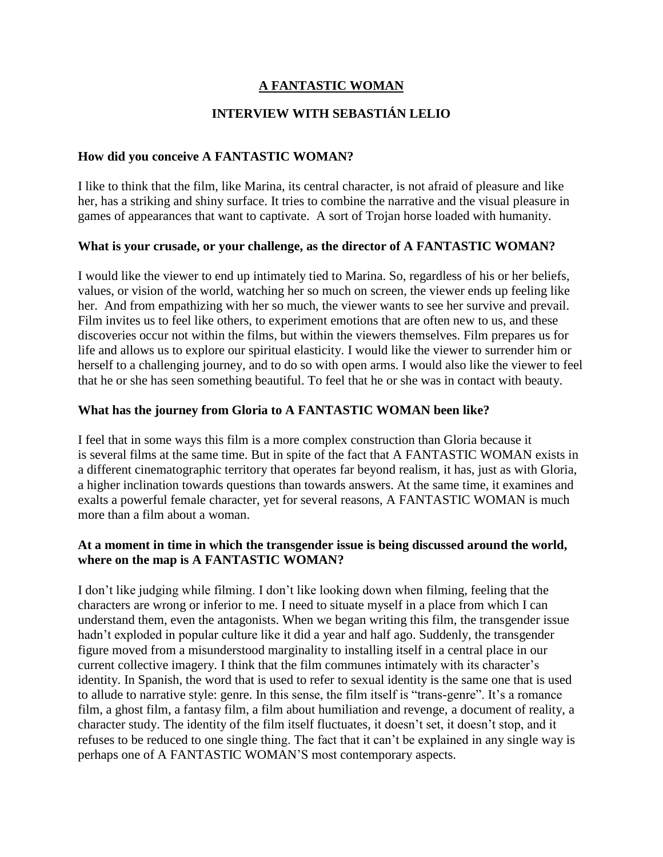#### **INTERVIEW WITH SEBASTIÁN LELIO**

#### **How did you conceive A FANTASTIC WOMAN?**

I like to think that the film, like Marina, its central character, is not afraid of pleasure and like her, has a striking and shiny surface. It tries to combine the narrative and the visual pleasure in games of appearances that want to captivate. A sort of Trojan horse loaded with humanity.

#### **What is your crusade, or your challenge, as the director of A FANTASTIC WOMAN?**

I would like the viewer to end up intimately tied to Marina. So, regardless of his or her beliefs, values, or vision of the world, watching her so much on screen, the viewer ends up feeling like her. And from empathizing with her so much, the viewer wants to see her survive and prevail. Film invites us to feel like others, to experiment emotions that are often new to us, and these discoveries occur not within the films, but within the viewers themselves. Film prepares us for life and allows us to explore our spiritual elasticity. I would like the viewer to surrender him or herself to a challenging journey, and to do so with open arms. I would also like the viewer to feel that he or she has seen something beautiful. To feel that he or she was in contact with beauty.

#### **What has the journey from Gloria to A FANTASTIC WOMAN been like?**

I feel that in some ways this film is a more complex construction than Gloria because it is several films at the same time. But in spite of the fact that A FANTASTIC WOMAN exists in a different cinematographic territory that operates far beyond realism, it has, just as with Gloria, a higher inclination towards questions than towards answers. At the same time, it examines and exalts a powerful female character, yet for several reasons, A FANTASTIC WOMAN is much more than a film about a woman.

#### **At a moment in time in which the transgender issue is being discussed around the world, where on the map is A FANTASTIC WOMAN?**

I don't like judging while filming. I don't like looking down when filming, feeling that the characters are wrong or inferior to me. I need to situate myself in a place from which I can understand them, even the antagonists. When we began writing this film, the transgender issue hadn't exploded in popular culture like it did a year and half ago. Suddenly, the transgender figure moved from a misunderstood marginality to installing itself in a central place in our current collective imagery. I think that the film communes intimately with its character's identity. In Spanish, the word that is used to refer to sexual identity is the same one that is used to allude to narrative style: genre. In this sense, the film itself is "trans-genre". It's a romance film, a ghost film, a fantasy film, a film about humiliation and revenge, a document of reality, a character study. The identity of the film itself fluctuates, it doesn't set, it doesn't stop, and it refuses to be reduced to one single thing. The fact that it can't be explained in any single way is perhaps one of A FANTASTIC WOMAN'S most contemporary aspects.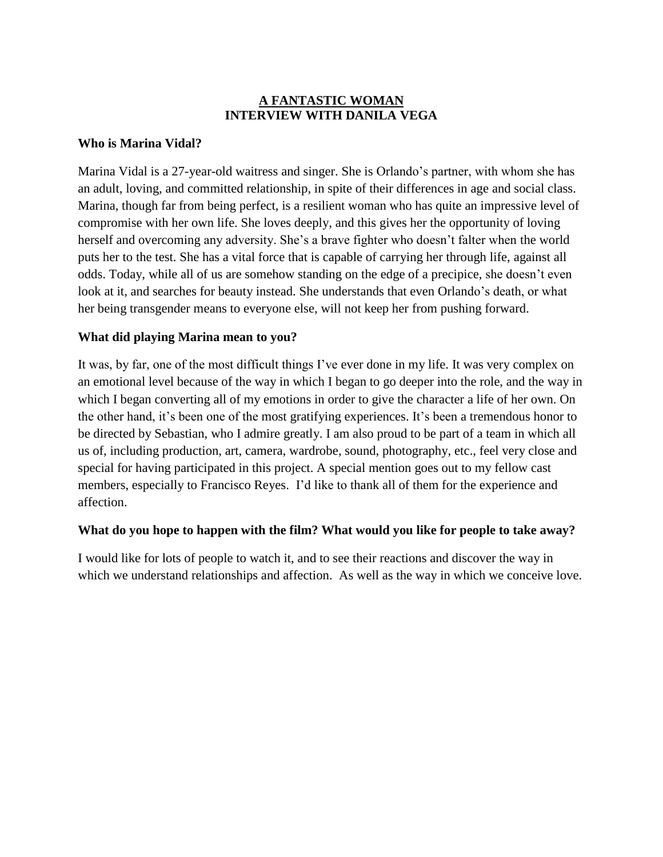# **A FANTASTIC WOMAN INTERVIEW WITH DANILA VEGA**

#### **Who is Marina Vidal?**

Marina Vidal is a 27-year-old waitress and singer. She is Orlando's partner, with whom she has an adult, loving, and committed relationship, in spite of their differences in age and social class. Marina, though far from being perfect, is a resilient woman who has quite an impressive level of compromise with her own life. She loves deeply, and this gives her the opportunity of loving herself and overcoming any adversity. She's a brave fighter who doesn't falter when the world puts her to the test. She has a vital force that is capable of carrying her through life, against all odds. Today, while all of us are somehow standing on the edge of a precipice, she doesn't even look at it, and searches for beauty instead. She understands that even Orlando's death, or what her being transgender means to everyone else, will not keep her from pushing forward.

#### **What did playing Marina mean to you?**

It was, by far, one of the most difficult things I've ever done in my life. It was very complex on an emotional level because of the way in which I began to go deeper into the role, and the way in which I began converting all of my emotions in order to give the character a life of her own. On the other hand, it's been one of the most gratifying experiences. It's been a tremendous honor to be directed by Sebastian, who I admire greatly. I am also proud to be part of a team in which all us of, including production, art, camera, wardrobe, sound, photography, etc., feel very close and special for having participated in this project. A special mention goes out to my fellow cast members, especially to Francisco Reyes. I'd like to thank all of them for the experience and affection.

# **What do you hope to happen with the film? What would you like for people to take away?**

I would like for lots of people to watch it, and to see their reactions and discover the way in which we understand relationships and affection. As well as the way in which we conceive love.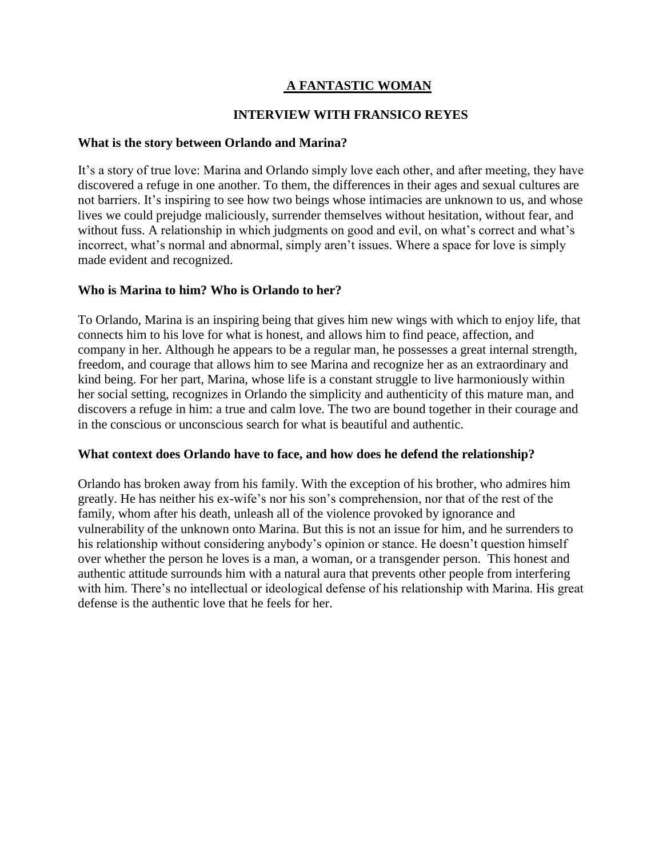#### **INTERVIEW WITH FRANSICO REYES**

#### **What is the story between Orlando and Marina?**

It's a story of true love: Marina and Orlando simply love each other, and after meeting, they have discovered a refuge in one another. To them, the differences in their ages and sexual cultures are not barriers. It's inspiring to see how two beings whose intimacies are unknown to us, and whose lives we could prejudge maliciously, surrender themselves without hesitation, without fear, and without fuss. A relationship in which judgments on good and evil, on what's correct and what's incorrect, what's normal and abnormal, simply aren't issues. Where a space for love is simply made evident and recognized.

#### **Who is Marina to him? Who is Orlando to her?**

To Orlando, Marina is an inspiring being that gives him new wings with which to enjoy life, that connects him to his love for what is honest, and allows him to find peace, affection, and company in her. Although he appears to be a regular man, he possesses a great internal strength, freedom, and courage that allows him to see Marina and recognize her as an extraordinary and kind being. For her part, Marina, whose life is a constant struggle to live harmoniously within her social setting, recognizes in Orlando the simplicity and authenticity of this mature man, and discovers a refuge in him: a true and calm love. The two are bound together in their courage and in the conscious or unconscious search for what is beautiful and authentic.

#### **What context does Orlando have to face, and how does he defend the relationship?**

Orlando has broken away from his family. With the exception of his brother, who admires him greatly. He has neither his ex-wife's nor his son's comprehension, nor that of the rest of the family, whom after his death, unleash all of the violence provoked by ignorance and vulnerability of the unknown onto Marina. But this is not an issue for him, and he surrenders to his relationship without considering anybody's opinion or stance. He doesn't question himself over whether the person he loves is a man, a woman, or a transgender person. This honest and authentic attitude surrounds him with a natural aura that prevents other people from interfering with him. There's no intellectual or ideological defense of his relationship with Marina. His great defense is the authentic love that he feels for her.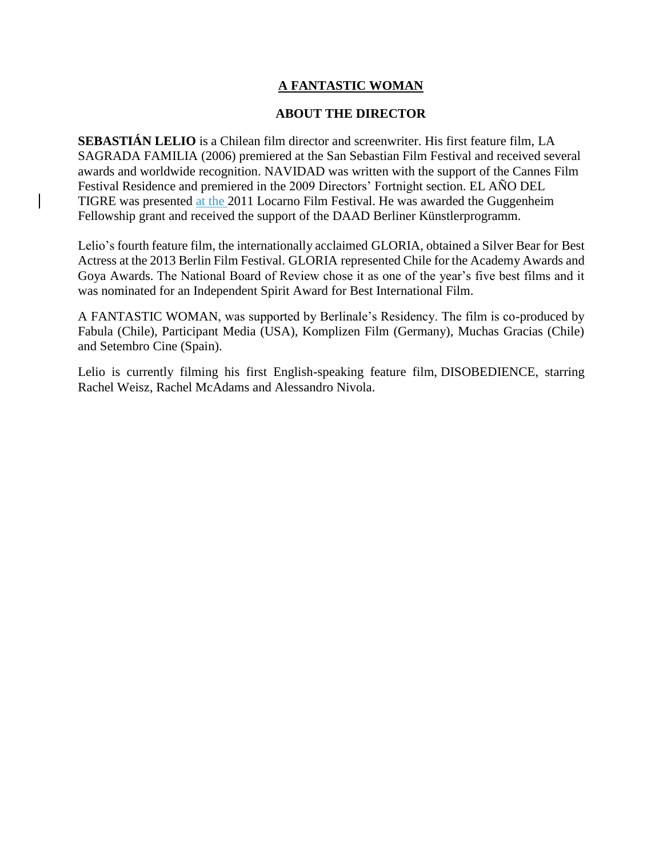#### **ABOUT THE DIRECTOR**

**SEBASTIÁN LELIO** is a Chilean film director and screenwriter. His first feature film, LA SAGRADA FAMILIA (2006) premiered at the San Sebastian Film Festival and received several awards and worldwide recognition. NAVIDAD was written with the support of the Cannes Film Festival Residence and premiered in the 2009 Directors' Fortnight section. EL AÑO DEL TIGRE was presented at the 2011 Locarno Film Festival. He was awarded the Guggenheim Fellowship grant and received the support of the DAAD Berliner Künstlerprogramm.

Lelio's fourth feature film, the internationally acclaimed GLORIA, obtained a Silver Bear for Best Actress at the 2013 Berlin Film Festival. GLORIA represented Chile for the Academy Awards and Goya Awards. The National Board of Review chose it as one of the year's five best films and it was nominated for an Independent Spirit Award for Best International Film.

A FANTASTIC WOMAN, was supported by Berlinale's Residency. The film is co-produced by Fabula (Chile), Participant Media (USA), Komplizen Film (Germany), Muchas Gracias (Chile) and Setembro Cine (Spain).

Lelio is currently filming his first English-speaking feature film, DISOBEDIENCE, starring Rachel Weisz, Rachel McAdams and Alessandro Nivola.